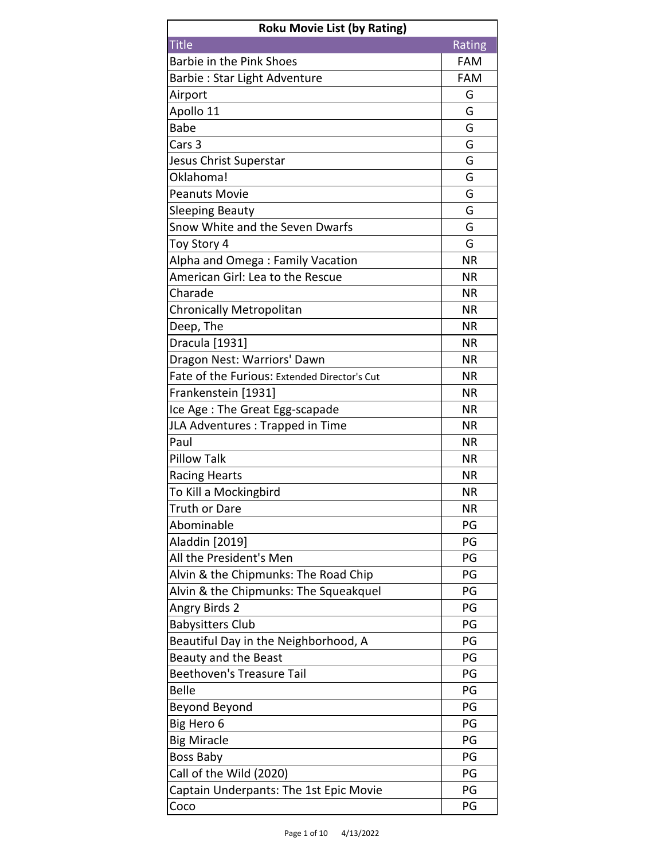| <b>Roku Movie List (by Rating)</b>           |            |
|----------------------------------------------|------------|
| <b>Title</b>                                 | Rating     |
| Barbie in the Pink Shoes                     | <b>FAM</b> |
| Barbie: Star Light Adventure                 | <b>FAM</b> |
| Airport                                      | G          |
| Apollo 11                                    | G          |
| <b>Babe</b>                                  | G          |
| Cars <sub>3</sub>                            | G          |
| Jesus Christ Superstar                       | G          |
| Oklahoma!                                    | G          |
| <b>Peanuts Movie</b>                         | G          |
| <b>Sleeping Beauty</b>                       | G          |
| Snow White and the Seven Dwarfs              | G          |
| Toy Story 4                                  | G          |
| Alpha and Omega: Family Vacation             | <b>NR</b>  |
| American Girl: Lea to the Rescue             | <b>NR</b>  |
| Charade                                      | <b>NR</b>  |
| Chronically Metropolitan                     | <b>NR</b>  |
| Deep, The                                    | <b>NR</b>  |
| Dracula [1931]                               | <b>NR</b>  |
| Dragon Nest: Warriors' Dawn                  | <b>NR</b>  |
| Fate of the Furious: Extended Director's Cut | <b>NR</b>  |
| Frankenstein [1931]                          | <b>NR</b>  |
| Ice Age: The Great Egg-scapade               | <b>NR</b>  |
| JLA Adventures: Trapped in Time              | <b>NR</b>  |
| Paul                                         | <b>NR</b>  |
| <b>Pillow Talk</b>                           | <b>NR</b>  |
| <b>Racing Hearts</b>                         | <b>NR</b>  |
| To Kill a Mockingbird                        | <b>NR</b>  |
| Truth or Dare                                | <b>NR</b>  |
| Abominable                                   | PG         |
| Aladdin [2019]                               | PG         |
| All the President's Men                      | PG         |
| Alvin & the Chipmunks: The Road Chip         | PG         |
| Alvin & the Chipmunks: The Squeakquel        | PG         |
| Angry Birds 2                                | PG         |
| <b>Babysitters Club</b>                      | PG         |
| Beautiful Day in the Neighborhood, A         | PG         |
| Beauty and the Beast                         | PG         |
| Beethoven's Treasure Tail                    | PG         |
| <b>Belle</b>                                 | PG         |
| Beyond Beyond                                | PG         |
| Big Hero 6                                   | PG         |
| <b>Big Miracle</b>                           | PG         |
| Boss Baby                                    | PG         |
| Call of the Wild (2020)                      | PG         |
| Captain Underpants: The 1st Epic Movie       | PG         |
| Coco                                         | PG         |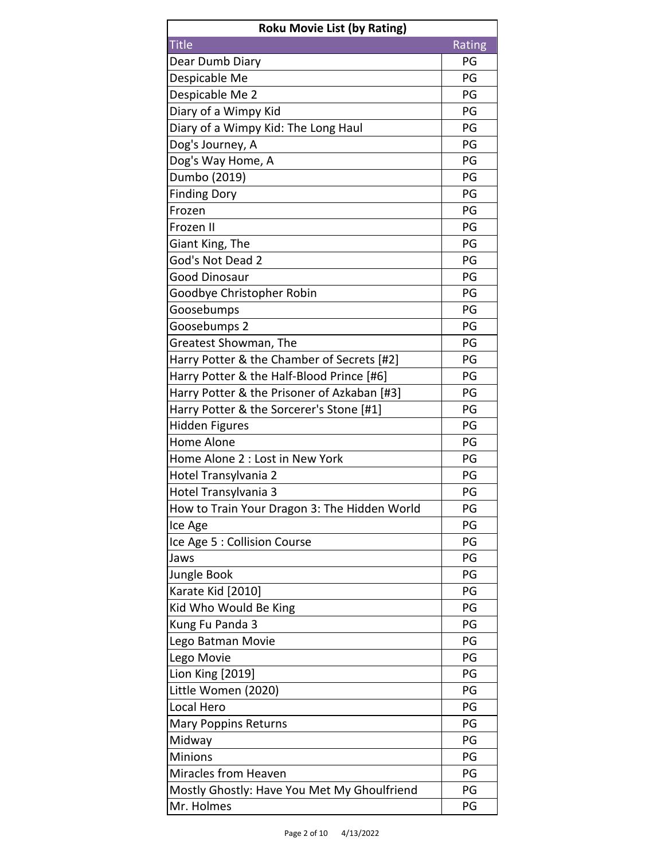| <b>Roku Movie List (by Rating)</b>           |        |
|----------------------------------------------|--------|
| <b>Title</b>                                 | Rating |
| Dear Dumb Diary                              | PG     |
| Despicable Me                                | PG     |
| Despicable Me 2                              | PG     |
| Diary of a Wimpy Kid                         | PG     |
| Diary of a Wimpy Kid: The Long Haul          | PG     |
| Dog's Journey, A                             | PG     |
| Dog's Way Home, A                            | PG     |
| Dumbo (2019)                                 | PG     |
| <b>Finding Dory</b>                          | PG     |
| Frozen                                       | PG     |
| Frozen II                                    | PG     |
| Giant King, The                              | PG     |
| God's Not Dead 2                             | PG     |
| <b>Good Dinosaur</b>                         | PG     |
| Goodbye Christopher Robin                    | PG     |
| Goosebumps                                   | PG     |
| Goosebumps 2                                 | PG     |
| Greatest Showman, The                        | PG     |
| Harry Potter & the Chamber of Secrets [#2]   | PG     |
| Harry Potter & the Half-Blood Prince [#6]    | PG     |
| Harry Potter & the Prisoner of Azkaban [#3]  | PG     |
| Harry Potter & the Sorcerer's Stone [#1]     | PG     |
| Hidden Figures                               | PG     |
| <b>Home Alone</b>                            | PG     |
| Home Alone 2 : Lost in New York              | PG     |
| Hotel Transylvania 2                         | PG     |
| Hotel Transylvania 3                         | PG     |
| How to Train Your Dragon 3: The Hidden World | PG     |
| Ice Age                                      | PG     |
| Ice Age 5 : Collision Course                 | PG     |
| Jaws                                         | PG     |
| Jungle Book                                  | PG     |
| Karate Kid [2010]                            | PG     |
| Kid Who Would Be King                        | PG     |
| Kung Fu Panda 3                              | PG     |
| Lego Batman Movie                            | PG     |
| Lego Movie                                   | PG     |
| Lion King [2019]                             | PG     |
| Little Women (2020)                          | PG     |
| Local Hero                                   | PG     |
| <b>Mary Poppins Returns</b>                  | PG     |
| Midway                                       | PG     |
| <b>Minions</b>                               | PG     |
| Miracles from Heaven                         | PG     |
| Mostly Ghostly: Have You Met My Ghoulfriend  | PG     |
| Mr. Holmes                                   | PG     |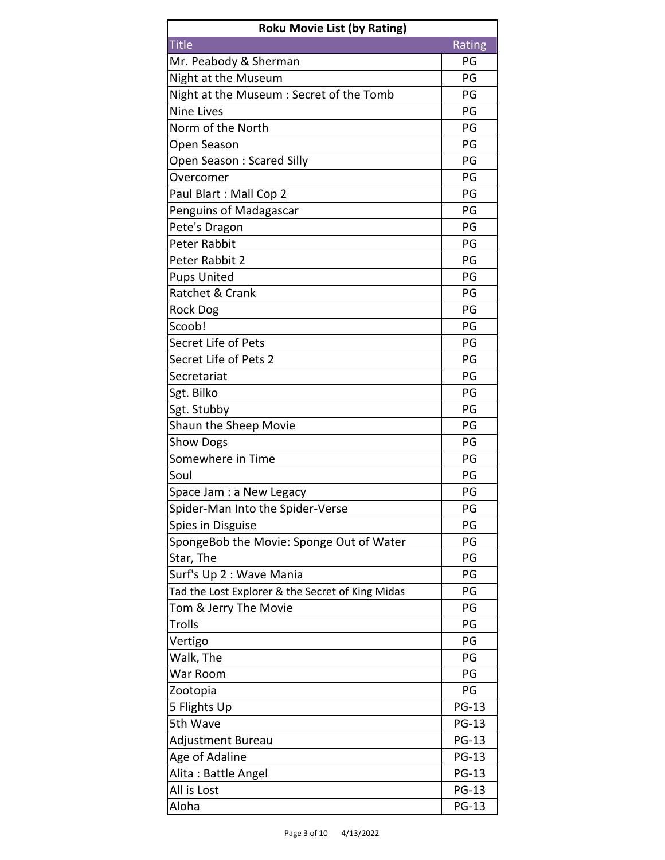| <b>Roku Movie List (by Rating)</b>               |              |
|--------------------------------------------------|--------------|
| <b>Title</b>                                     | Rating       |
| Mr. Peabody & Sherman                            | PG           |
| Night at the Museum                              | PG           |
| Night at the Museum: Secret of the Tomb          | PG           |
| <b>Nine Lives</b>                                | PG           |
| Norm of the North                                | PG           |
| Open Season                                      | PG           |
| Open Season: Scared Silly                        | PG           |
| Overcomer                                        | PG           |
| Paul Blart: Mall Cop 2                           | PG           |
| Penguins of Madagascar                           | PG           |
| Pete's Dragon                                    | PG           |
| <b>Peter Rabbit</b>                              | PG           |
| Peter Rabbit 2                                   | PG           |
| <b>Pups United</b>                               | PG           |
| Ratchet & Crank                                  | PG           |
| Rock Dog                                         | PG           |
| Scoob!                                           | PG           |
| Secret Life of Pets                              | PG           |
| Secret Life of Pets 2                            | PG           |
| Secretariat                                      | PG           |
| Sgt. Bilko                                       | PG           |
| Sgt. Stubby                                      | PG           |
| Shaun the Sheep Movie                            | PG           |
| <b>Show Dogs</b>                                 | PG           |
| Somewhere in Time                                | PG           |
| Soul                                             | PG           |
| Space Jam : a New Legacy                         | PG           |
| Spider-Man Into the Spider-Verse                 | PG           |
| Spies in Disguise                                | PG           |
| SpongeBob the Movie: Sponge Out of Water         | PG           |
| Star, The                                        | PG           |
| Surf's Up 2 : Wave Mania                         | PG           |
| Tad the Lost Explorer & the Secret of King Midas | PG           |
| Tom & Jerry The Movie                            | PG           |
| <b>Trolls</b>                                    | PG           |
| Vertigo                                          | PG           |
| Walk, The                                        | PG           |
| War Room                                         | PG           |
| Zootopia                                         | PG           |
| 5 Flights Up                                     | <b>PG-13</b> |
| 5th Wave                                         | <b>PG-13</b> |
| Adjustment Bureau                                | <b>PG-13</b> |
| Age of Adaline                                   | <b>PG-13</b> |
| Alita: Battle Angel                              | <b>PG-13</b> |
| All is Lost                                      | <b>PG-13</b> |
| Aloha                                            | <b>PG-13</b> |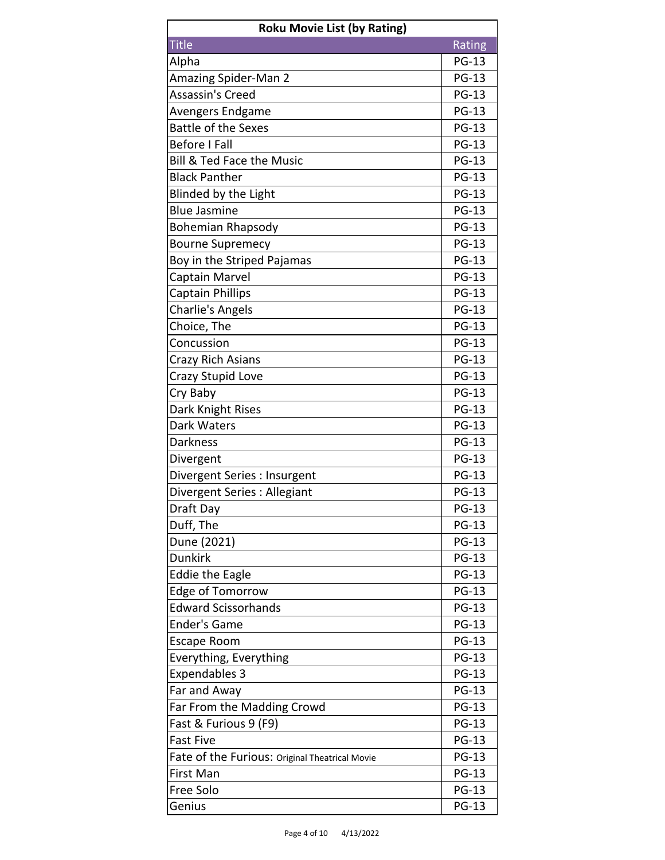| <b>Roku Movie List (by Rating)</b>             |              |
|------------------------------------------------|--------------|
| <b>Title</b>                                   | Rating       |
| Alpha                                          | <b>PG-13</b> |
| Amazing Spider-Man 2                           | <b>PG-13</b> |
| Assassin's Creed                               | <b>PG-13</b> |
| Avengers Endgame                               | <b>PG-13</b> |
| <b>Battle of the Sexes</b>                     | <b>PG-13</b> |
| <b>Before I Fall</b>                           | <b>PG-13</b> |
| <b>Bill &amp; Ted Face the Music</b>           | <b>PG-13</b> |
| <b>Black Panther</b>                           | <b>PG-13</b> |
| Blinded by the Light                           | <b>PG-13</b> |
| <b>Blue Jasmine</b>                            | <b>PG-13</b> |
| <b>Bohemian Rhapsody</b>                       | <b>PG-13</b> |
| <b>Bourne Supremecy</b>                        | <b>PG-13</b> |
| Boy in the Striped Pajamas                     | <b>PG-13</b> |
| Captain Marvel                                 | <b>PG-13</b> |
| <b>Captain Phillips</b>                        | <b>PG-13</b> |
| Charlie's Angels                               | <b>PG-13</b> |
| Choice, The                                    | <b>PG-13</b> |
| Concussion                                     | <b>PG-13</b> |
| Crazy Rich Asians                              | <b>PG-13</b> |
| <b>Crazy Stupid Love</b>                       | <b>PG-13</b> |
| Cry Baby                                       | <b>PG-13</b> |
| Dark Knight Rises                              | <b>PG-13</b> |
| Dark Waters                                    | <b>PG-13</b> |
| <b>Darkness</b>                                | <b>PG-13</b> |
| Divergent                                      | <b>PG-13</b> |
| Divergent Series : Insurgent                   | <b>PG-13</b> |
| Divergent Series : Allegiant                   | <b>PG-13</b> |
| Draft Day                                      | <b>PG-13</b> |
| Duff, The                                      | <b>PG-13</b> |
| Dune (2021)                                    | <b>PG-13</b> |
| <b>Dunkirk</b>                                 | <b>PG-13</b> |
| <b>Eddie the Eagle</b>                         | <b>PG-13</b> |
| <b>Edge of Tomorrow</b>                        | <b>PG-13</b> |
| <b>Edward Scissorhands</b>                     | <b>PG-13</b> |
| <b>Ender's Game</b>                            | <b>PG-13</b> |
| <b>Escape Room</b>                             | <b>PG-13</b> |
| Everything, Everything                         | <b>PG-13</b> |
| <b>Expendables 3</b>                           | <b>PG-13</b> |
| Far and Away                                   | <b>PG-13</b> |
| Far From the Madding Crowd                     | <b>PG-13</b> |
| Fast & Furious 9 (F9)                          | <b>PG-13</b> |
| <b>Fast Five</b>                               | <b>PG-13</b> |
| Fate of the Furious: Original Theatrical Movie | <b>PG-13</b> |
| First Man                                      | <b>PG-13</b> |
| Free Solo                                      | <b>PG-13</b> |
| Genius                                         | <b>PG-13</b> |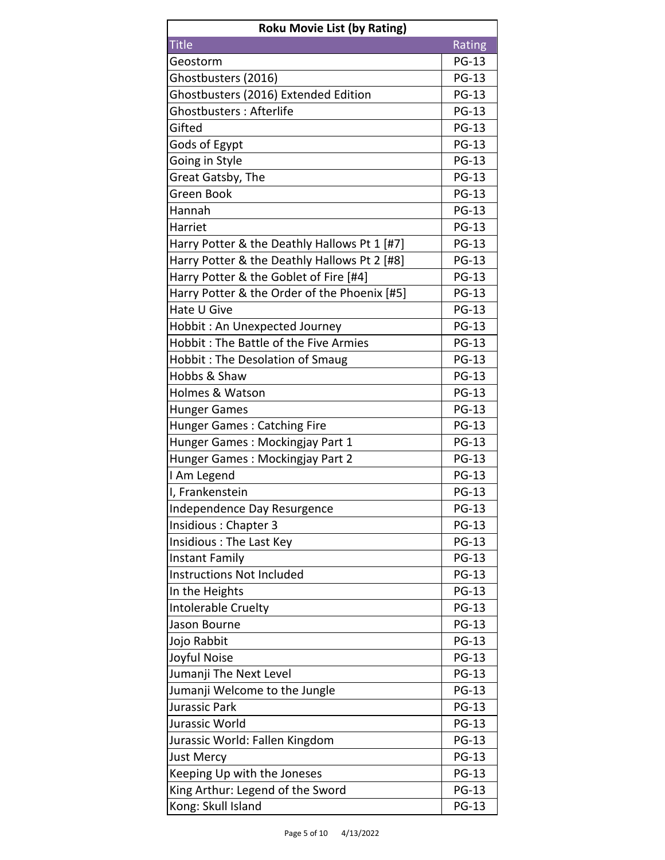| <b>Roku Movie List (by Rating)</b>           |              |
|----------------------------------------------|--------------|
| <b>Title</b>                                 | Rating       |
| Geostorm                                     | <b>PG-13</b> |
| Ghostbusters (2016)                          | <b>PG-13</b> |
| Ghostbusters (2016) Extended Edition         | <b>PG-13</b> |
| Ghostbusters: Afterlife                      | <b>PG-13</b> |
| Gifted                                       | <b>PG-13</b> |
| Gods of Egypt                                | <b>PG-13</b> |
| Going in Style                               | <b>PG-13</b> |
| Great Gatsby, The                            | <b>PG-13</b> |
| Green Book                                   | <b>PG-13</b> |
| Hannah                                       | <b>PG-13</b> |
| Harriet                                      | <b>PG-13</b> |
| Harry Potter & the Deathly Hallows Pt 1 [#7] | <b>PG-13</b> |
| Harry Potter & the Deathly Hallows Pt 2 [#8] | <b>PG-13</b> |
| Harry Potter & the Goblet of Fire [#4]       | <b>PG-13</b> |
| Harry Potter & the Order of the Phoenix [#5] | <b>PG-13</b> |
| Hate U Give                                  | <b>PG-13</b> |
| Hobbit: An Unexpected Journey                | <b>PG-13</b> |
| Hobbit: The Battle of the Five Armies        | <b>PG-13</b> |
| <b>Hobbit: The Desolation of Smaug</b>       | <b>PG-13</b> |
| Hobbs & Shaw                                 | <b>PG-13</b> |
| Holmes & Watson                              | <b>PG-13</b> |
| <b>Hunger Games</b>                          | <b>PG-13</b> |
| Hunger Games: Catching Fire                  | <b>PG-13</b> |
| Hunger Games: Mockingjay Part 1              | <b>PG-13</b> |
| Hunger Games: Mockingjay Part 2              | <b>PG-13</b> |
| I Am Legend                                  | <b>PG-13</b> |
| I, Frankenstein                              | <b>PG-13</b> |
| Independence Day Resurgence                  | <b>PG-13</b> |
| Insidious: Chapter 3                         | <b>PG-13</b> |
| Insidious: The Last Key                      | <b>PG-13</b> |
| <b>Instant Family</b>                        | <b>PG-13</b> |
| <b>Instructions Not Included</b>             | <b>PG-13</b> |
| In the Heights                               | <b>PG-13</b> |
| Intolerable Cruelty                          | <b>PG-13</b> |
| Jason Bourne                                 | <b>PG-13</b> |
| Jojo Rabbit                                  | <b>PG-13</b> |
| Joyful Noise                                 | <b>PG-13</b> |
| Jumanji The Next Level                       | <b>PG-13</b> |
| Jumanji Welcome to the Jungle                | <b>PG-13</b> |
| Jurassic Park                                | <b>PG-13</b> |
| Jurassic World                               | <b>PG-13</b> |
| Jurassic World: Fallen Kingdom               | <b>PG-13</b> |
| <b>Just Mercy</b>                            | <b>PG-13</b> |
| Keeping Up with the Joneses                  | <b>PG-13</b> |
| King Arthur: Legend of the Sword             | <b>PG-13</b> |
| Kong: Skull Island                           | <b>PG-13</b> |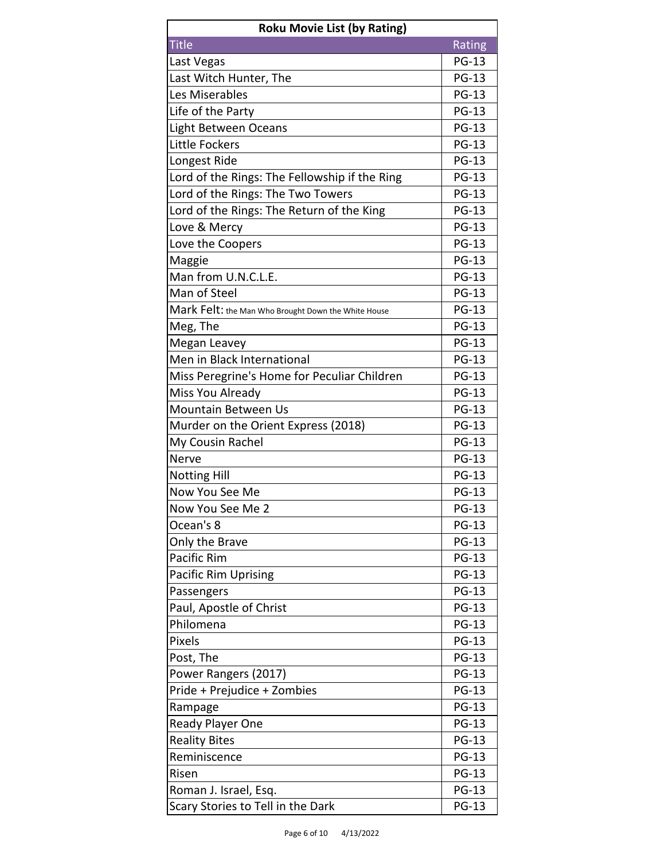| <b>Roku Movie List (by Rating)</b>                  |              |
|-----------------------------------------------------|--------------|
| <b>Title</b>                                        | Rating       |
| Last Vegas                                          | <b>PG-13</b> |
| Last Witch Hunter, The                              | <b>PG-13</b> |
| Les Miserables                                      | <b>PG-13</b> |
| Life of the Party                                   | <b>PG-13</b> |
| Light Between Oceans                                | <b>PG-13</b> |
| Little Fockers                                      | <b>PG-13</b> |
| Longest Ride                                        | <b>PG-13</b> |
| Lord of the Rings: The Fellowship if the Ring       | <b>PG-13</b> |
| Lord of the Rings: The Two Towers                   | <b>PG-13</b> |
| Lord of the Rings: The Return of the King           | <b>PG-13</b> |
| Love & Mercy                                        | <b>PG-13</b> |
| Love the Coopers                                    | <b>PG-13</b> |
| Maggie                                              | <b>PG-13</b> |
| Man from U.N.C.L.E.                                 | <b>PG-13</b> |
| Man of Steel                                        | <b>PG-13</b> |
| Mark Felt: the Man Who Brought Down the White House | <b>PG-13</b> |
| Meg, The                                            | <b>PG-13</b> |
| Megan Leavey                                        | <b>PG-13</b> |
| Men in Black International                          | <b>PG-13</b> |
| Miss Peregrine's Home for Peculiar Children         | <b>PG-13</b> |
| Miss You Already                                    | <b>PG-13</b> |
| <b>Mountain Between Us</b>                          | <b>PG-13</b> |
| Murder on the Orient Express (2018)                 | <b>PG-13</b> |
| My Cousin Rachel                                    | <b>PG-13</b> |
| Nerve                                               | <b>PG-13</b> |
| <b>Notting Hill</b>                                 | <b>PG-13</b> |
| Now You See Me                                      | <b>PG-13</b> |
| Now You See Me 2                                    | <b>PG-13</b> |
| Ocean's 8                                           | <b>PG-13</b> |
| Only the Brave                                      | <b>PG-13</b> |
| Pacific Rim                                         | <b>PG-13</b> |
| <b>Pacific Rim Uprising</b>                         | <b>PG-13</b> |
| Passengers                                          | <b>PG-13</b> |
| Paul, Apostle of Christ                             | <b>PG-13</b> |
| Philomena                                           | <b>PG-13</b> |
| <b>Pixels</b>                                       | <b>PG-13</b> |
| Post, The                                           | <b>PG-13</b> |
| Power Rangers (2017)                                | <b>PG-13</b> |
| Pride + Prejudice + Zombies                         | <b>PG-13</b> |
| Rampage                                             | <b>PG-13</b> |
| Ready Player One                                    | <b>PG-13</b> |
| <b>Reality Bites</b>                                | <b>PG-13</b> |
| Reminiscence                                        | <b>PG-13</b> |
| Risen                                               | <b>PG-13</b> |
| Roman J. Israel, Esq.                               | <b>PG-13</b> |
| Scary Stories to Tell in the Dark                   | <b>PG-13</b> |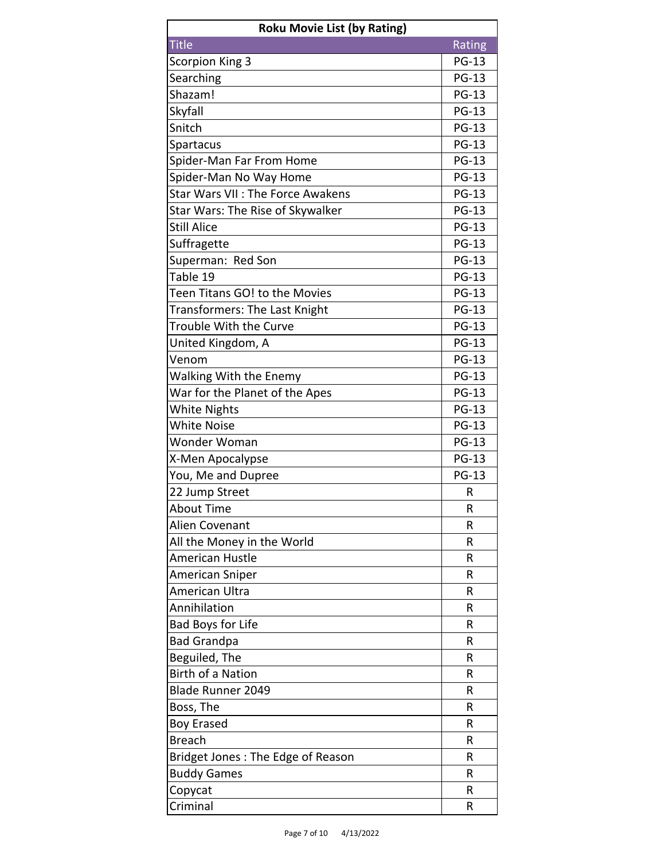| <b>Roku Movie List (by Rating)</b>      |              |
|-----------------------------------------|--------------|
| <b>Title</b>                            | Rating       |
| <b>Scorpion King 3</b>                  | <b>PG-13</b> |
| Searching                               | <b>PG-13</b> |
| Shazam!                                 | <b>PG-13</b> |
| Skyfall                                 | <b>PG-13</b> |
| Snitch                                  | <b>PG-13</b> |
| Spartacus                               | <b>PG-13</b> |
| Spider-Man Far From Home                | <b>PG-13</b> |
| Spider-Man No Way Home                  | <b>PG-13</b> |
| <b>Star Wars VII: The Force Awakens</b> | <b>PG-13</b> |
| Star Wars: The Rise of Skywalker        | <b>PG-13</b> |
| <b>Still Alice</b>                      | <b>PG-13</b> |
| Suffragette                             | <b>PG-13</b> |
| Superman: Red Son                       | <b>PG-13</b> |
| Table 19                                | <b>PG-13</b> |
| Teen Titans GO! to the Movies           | <b>PG-13</b> |
| Transformers: The Last Knight           | <b>PG-13</b> |
| Trouble With the Curve                  | <b>PG-13</b> |
| United Kingdom, A                       | <b>PG-13</b> |
| Venom                                   | <b>PG-13</b> |
| <b>Walking With the Enemy</b>           | <b>PG-13</b> |
| War for the Planet of the Apes          | <b>PG-13</b> |
| <b>White Nights</b>                     | <b>PG-13</b> |
| <b>White Noise</b>                      | <b>PG-13</b> |
| Wonder Woman                            | <b>PG-13</b> |
| X-Men Apocalypse                        | <b>PG-13</b> |
| You, Me and Dupree                      | <b>PG-13</b> |
| 22 Jump Street                          | R            |
| <b>About Time</b>                       | R            |
| Alien Covenant                          | R            |
| All the Money in the World              | R            |
| American Hustle                         | R            |
| American Sniper                         | R            |
| American Ultra                          | R            |
| Annihilation                            | R            |
| <b>Bad Boys for Life</b>                | R            |
| <b>Bad Grandpa</b>                      | R            |
| Beguiled, The                           | R            |
| <b>Birth of a Nation</b>                | R            |
| <b>Blade Runner 2049</b>                | R            |
| Boss, The                               | R            |
| <b>Boy Erased</b>                       | R            |
| <b>Breach</b>                           | R            |
| Bridget Jones: The Edge of Reason       | R            |
| <b>Buddy Games</b>                      | R            |
| Copycat                                 | R            |
| Criminal                                | R            |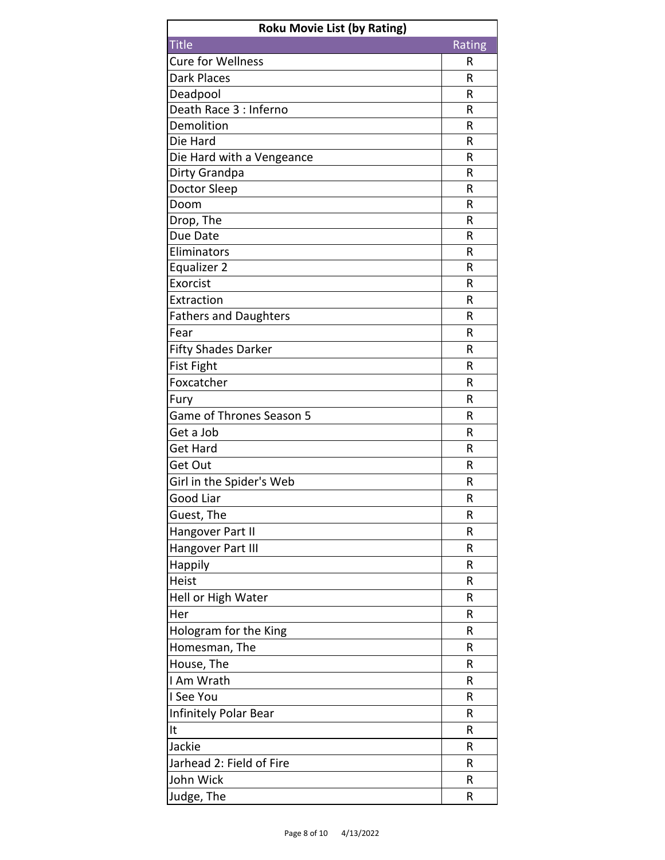| <b>Roku Movie List (by Rating)</b> |        |
|------------------------------------|--------|
| <b>Title</b>                       | Rating |
| <b>Cure for Wellness</b>           | R      |
| <b>Dark Places</b>                 | R      |
| Deadpool                           | R      |
| Death Race 3 : Inferno             | R      |
| Demolition                         | R      |
| Die Hard                           | R      |
| Die Hard with a Vengeance          | R      |
| Dirty Grandpa                      | R      |
| Doctor Sleep                       | R      |
| Doom                               | R      |
| Drop, The                          | R      |
| Due Date                           | R      |
| Eliminators                        | R      |
| Equalizer 2                        | R      |
| Exorcist                           | R      |
| Extraction                         | R      |
| <b>Fathers and Daughters</b>       | R      |
| Fear                               | R      |
| <b>Fifty Shades Darker</b>         | R      |
| <b>Fist Fight</b>                  | R      |
| Foxcatcher                         | R      |
| Fury                               | R      |
| Game of Thrones Season 5           | R      |
| Get a Job                          | R      |
| <b>Get Hard</b>                    | R      |
| Get Out                            | R      |
| Girl in the Spider's Web           | R      |
| Good Liar                          | R      |
| Guest, The                         | R      |
| Hangover Part II                   | R      |
| Hangover Part III                  | R      |
| Happily                            | R      |
| Heist                              | R      |
| Hell or High Water                 | R      |
| Her                                | R      |
| Hologram for the King              | R      |
| Homesman, The                      | R      |
| House, The                         | R      |
| I Am Wrath                         | R      |
| I See You                          | R      |
| Infinitely Polar Bear              | R      |
| It                                 | R      |
| Jackie                             | R      |
| Jarhead 2: Field of Fire           | R      |
| John Wick                          | R      |
| Judge, The                         | R      |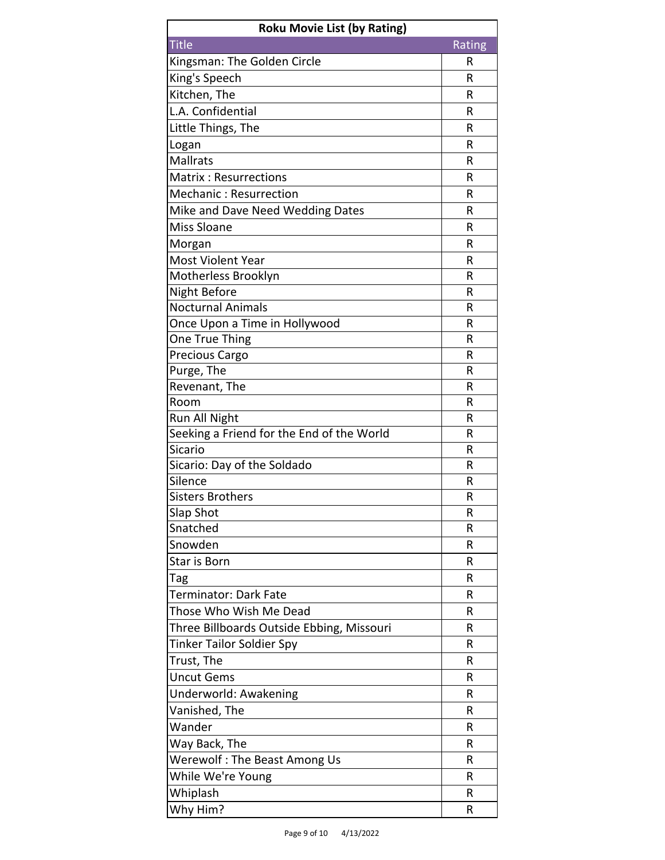| <b>Roku Movie List (by Rating)</b>            |        |
|-----------------------------------------------|--------|
| <b>Title</b>                                  | Rating |
| Kingsman: The Golden Circle                   | R      |
| King's Speech                                 | R      |
| Kitchen, The                                  | R      |
| L.A. Confidential                             | R      |
| Little Things, The                            | R      |
| Logan                                         | R      |
| <b>Mallrats</b>                               | R      |
| <b>Matrix: Resurrections</b>                  | R      |
| <b>Mechanic: Resurrection</b>                 | R      |
| Mike and Dave Need Wedding Dates              | R      |
| <b>Miss Sloane</b>                            | R      |
| Morgan                                        | R      |
| Most Violent Year                             | R      |
| Motherless Brooklyn                           | R      |
| <b>Night Before</b>                           | R      |
| <b>Nocturnal Animals</b>                      | R      |
| Once Upon a Time in Hollywood                 | R      |
| <b>One True Thing</b>                         | R      |
| Precious Cargo                                | R      |
| Purge, The                                    | R      |
| Revenant, The                                 | R      |
| Room                                          | R      |
| Run All Night                                 | R      |
| Seeking a Friend for the End of the World     | R      |
| <b>Sicario</b>                                | R<br>R |
| Sicario: Day of the Soldado<br>Silence        | R      |
| <b>Sisters Brothers</b>                       | R      |
| Slap Shot                                     | R      |
| Snatched                                      | R      |
| Snowden                                       | R      |
| Star is Born                                  | R      |
| Tag                                           | R      |
| Terminator: Dark Fate                         | R      |
| Those Who Wish Me Dead                        | R      |
| Three Billboards Outside Ebbing, Missouri     | R      |
| <b>Tinker Tailor Soldier Spy</b>              | R      |
| Trust, The                                    | R      |
| <b>Uncut Gems</b>                             | R      |
| Underworld: Awakening                         | R      |
| Vanished, The                                 | R      |
| Wander                                        | R      |
|                                               | R      |
| Way Back, The<br>Werewolf: The Beast Among Us | R      |
| While We're Young                             | R      |
|                                               |        |
| Whiplash                                      | R      |
| Why Him?                                      | R      |